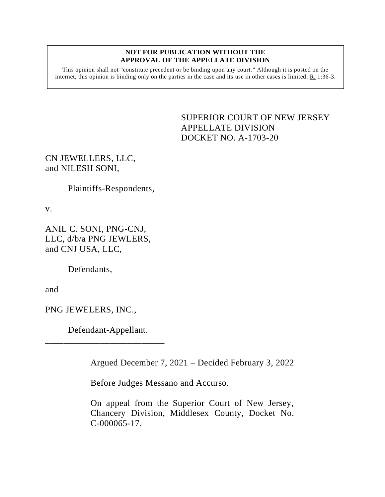#### **NOT FOR PUBLICATION WITHOUT THE APPROVAL OF THE APPELLATE DIVISION**

This opinion shall not "constitute precedent or be binding upon any court." Although it is posted on the internet, this opinion is binding only on the parties in the case and its use in other cases is limited. R. 1:36-3.

> <span id="page-0-0"></span>SUPERIOR COURT OF NEW JERSEY APPELLATE DIVISION DOCKET NO. A-1703-20

# CN JEWELLERS, LLC, and NILESH SONI,

Plaintiffs-Respondents,

v.

ANIL C. SONI, PNG-CNJ, LLC, d/b/a PNG JEWLERS, and CNJ USA, LLC,

Defendants,

and

PNG JEWELERS, INC.,

Defendant-Appellant.

\_\_\_\_\_\_\_\_\_\_\_\_\_\_\_\_\_\_\_\_\_\_\_\_\_\_

Argued December 7, 2021 – Decided February 3, 2022

Before Judges Messano and Accurso.

On appeal from the Superior Court of New Jersey, Chancery Division, Middlesex County, Docket No. C-000065-17.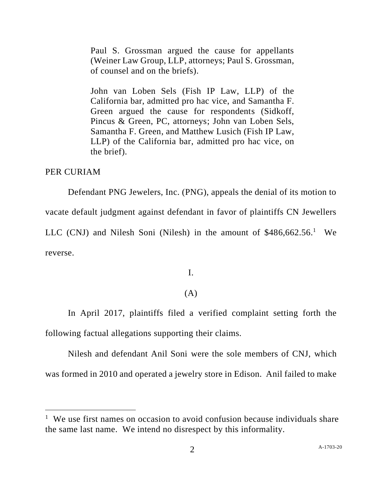Paul S. Grossman argued the cause for appellants (Weiner Law Group, LLP, attorneys; Paul S. Grossman, of counsel and on the briefs).

John van Loben Sels (Fish IP Law, LLP) of the California bar, admitted pro hac vice, and Samantha F. Green argued the cause for respondents (Sidkoff, Pincus & Green, PC, attorneys; John van Loben Sels, Samantha F. Green, and Matthew Lusich (Fish IP Law, LLP) of the California bar, admitted pro hac vice, on the brief).

### PER CURIAM

Defendant PNG Jewelers, Inc. (PNG), appeals the denial of its motion to vacate default judgment against defendant in favor of plaintiffs CN Jewellers LLC (CNJ) and Nilesh Soni (Nilesh) in the amount of  $$486,662.56$ .<sup>1</sup> We reverse.

I.

## (A)

In April 2017, plaintiffs filed a verified complaint setting forth the following factual allegations supporting their claims.

Nilesh and defendant Anil Soni were the sole members of CNJ, which was formed in 2010 and operated a jewelry store in Edison. Anil failed to make

<sup>&</sup>lt;sup>1</sup> We use first names on occasion to avoid confusion because individuals share the same last name. We intend no disrespect by this informality.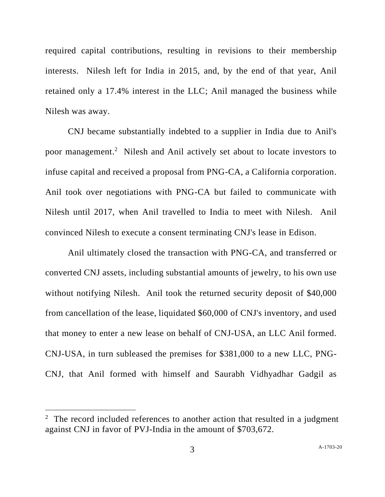required capital contributions, resulting in revisions to their membership interests. Nilesh left for India in 2015, and, by the end of that year, Anil retained only a 17.4% interest in the LLC; Anil managed the business while Nilesh was away.

CNJ became substantially indebted to a supplier in India due to Anil's poor management. 2 Nilesh and Anil actively set about to locate investors to infuse capital and received a proposal from PNG-CA, a California corporation. Anil took over negotiations with PNG-CA but failed to communicate with Nilesh until 2017, when Anil travelled to India to meet with Nilesh. Anil convinced Nilesh to execute a consent terminating CNJ's lease in Edison.

Anil ultimately closed the transaction with PNG-CA, and transferred or converted CNJ assets, including substantial amounts of jewelry, to his own use without notifying Nilesh. Anil took the returned security deposit of \$40,000 from cancellation of the lease, liquidated \$60,000 of CNJ's inventory, and used that money to enter a new lease on behalf of CNJ-USA, an LLC Anil formed. CNJ-USA, in turn subleased the premises for \$381,000 to a new LLC, PNG-CNJ, that Anil formed with himself and Saurabh Vidhyadhar Gadgil as

<sup>&</sup>lt;sup>2</sup> The record included references to another action that resulted in a judgment against CNJ in favor of PVJ-India in the amount of \$703,672.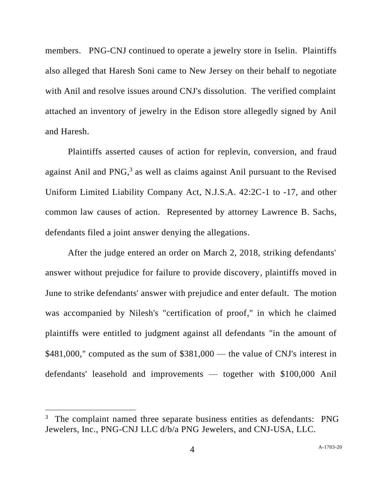members. PNG-CNJ continued to operate a jewelry store in Iselin. Plaintiffs also alleged that Haresh Soni came to New Jersey on their behalf to negotiate with Anil and resolve issues around CNJ's dissolution. The verified complaint attached an inventory of jewelry in the Edison store allegedly signed by Anil and Haresh.

Plaintiffs asserted causes of action for replevin, conversion, and fraud against Anil and PNG,<sup>3</sup> as well as claims against Anil pursuant to the Revised Uniform Limited Liability Company Act, N.J.S.A. 42:2C-1 to -17, and other common law causes of action. Represented by attorney Lawrence B. Sachs, defendants filed a joint answer denying the allegations.

After the judge entered an order on March 2, 2018, striking defendants' answer without prejudice for failure to provide discovery, plaintiffs moved in June to strike defendants' answer with prejudice and enter default. The motion was accompanied by Nilesh's "certification of proof," in which he claimed plaintiffs were entitled to judgment against all defendants "in the amount of \$481,000," computed as the sum of \$381,000 — the value of CNJ's interest in defendants' leasehold and improvements — together with \$100,000 Anil

<sup>&</sup>lt;sup>3</sup> The complaint named three separate business entities as defendants: PNG Jewelers, Inc., PNG-CNJ LLC d/b/a PNG Jewelers, and CNJ-USA, LLC.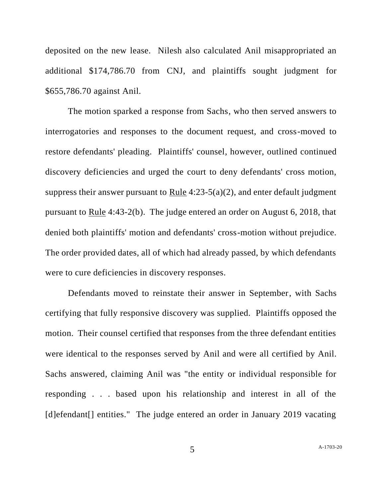deposited on the new lease. Nilesh also calculated Anil misappropriated an additional \$174,786.70 from CNJ, and plaintiffs sought judgment for \$655,786.70 against Anil.

The motion sparked a response from Sachs, who then served answers to interrogatories and responses to the document request, and cross-moved to restore defendants' pleading. Plaintiffs' counsel, however, outlined continued discovery deficiencies and urged the court to deny defendants' cross motion, suppress their answer pursuant to Rule  $4:23-5(a)(2)$ , and enter default judgment pursuant to Rule 4:43-2(b). The judge entered an order on August 6, 2018, that denied both plaintiffs' motion and defendants' cross-motion without prejudice. The order provided dates, all of which had already passed, by which defendants were to cure deficiencies in discovery responses.

Defendants moved to reinstate their answer in September, with Sachs certifying that fully responsive discovery was supplied. Plaintiffs opposed the motion. Their counsel certified that responses from the three defendant entities were identical to the responses served by Anil and were all certified by Anil. Sachs answered, claiming Anil was "the entity or individual responsible for responding . . . based upon his relationship and interest in all of the [d]efendant<sup>[]</sup> entities." The judge entered an order in January 2019 vacating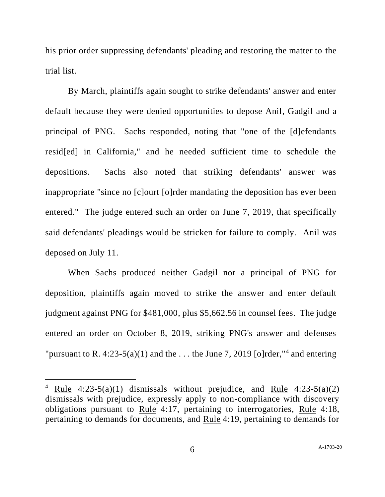his prior order suppressing defendants' pleading and restoring the matter to the trial list.

By March, plaintiffs again sought to strike defendants' answer and enter default because they were denied opportunities to depose Anil, Gadgil and a principal of PNG. Sachs responded, noting that "one of the [d]efendants resid[ed] in California," and he needed sufficient time to schedule the depositions. Sachs also noted that striking defendants' answer was inappropriate "since no [c]ourt [o]rder mandating the deposition has ever been entered." The judge entered such an order on June 7, 2019, that specifically said defendants' pleadings would be stricken for failure to comply. Anil was deposed on July 11.

When Sachs produced neither Gadgil nor a principal of PNG for deposition, plaintiffs again moved to strike the answer and enter default judgment against PNG for \$481,000, plus \$5,662.56 in counsel fees. The judge entered an order on October 8, 2019, striking PNG's answer and defenses "pursuant to R. 4:23-5(a)(1) and the ... the June 7, 2019 [o]rder,  $4$  and entering

<sup>&</sup>lt;sup>4</sup> Rule 4:23-5(a)(1) dismissals without prejudice, and Rule 4:23-5(a)(2) dismissals with prejudice, expressly apply to non-compliance with discovery obligations pursuant to Rule 4:17, pertaining to interrogatories, Rule 4:18, pertaining to demands for documents, and Rule 4:19, pertaining to demands for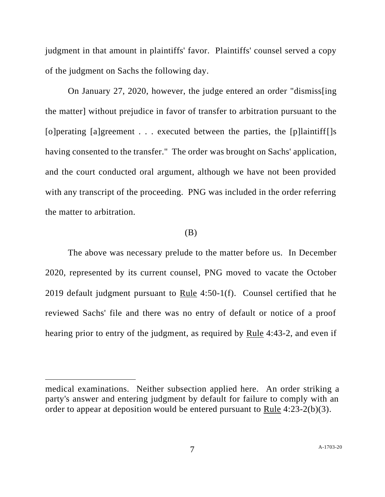judgment in that amount in plaintiffs' favor. Plaintiffs' counsel served a copy of the judgment on Sachs the following day.

On January 27, 2020, however, the judge entered an order "dismiss[ing the matter] without prejudice in favor of transfer to arbitration pursuant to the [o] perating [a] greement . . . executed between the parties, the [p] laintiff [] s having consented to the transfer." The order was brought on Sachs' application, and the court conducted oral argument, although we have not been provided with any transcript of the proceeding. PNG was included in the order referring the matter to arbitration.

#### (B)

The above was necessary prelude to the matter before us. In December 2020, represented by its current counsel, PNG moved to vacate the October 2019 default judgment pursuant to Rule 4:50-1(f). Counsel certified that he reviewed Sachs' file and there was no entry of default or notice of a proof hearing prior to entry of the judgment, as required by Rule 4:43-2, and even if

medical examinations. Neither subsection applied here. An order striking a party's answer and entering judgment by default for failure to comply with an order to appear at deposition would be entered pursuant to Rule 4:23-2(b)(3).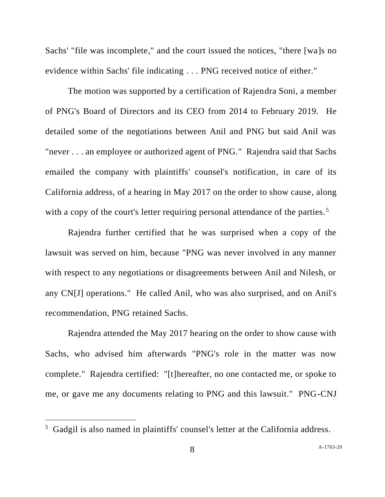Sachs' "file was incomplete," and the court issued the notices, "there [wa]s no evidence within Sachs' file indicating . . . PNG received notice of either."

The motion was supported by a certification of Rajendra Soni, a member of PNG's Board of Directors and its CEO from 2014 to February 2019. He detailed some of the negotiations between Anil and PNG but said Anil was "never . . . an employee or authorized agent of PNG." Rajendra said that Sachs emailed the company with plaintiffs' counsel's notification, in care of its California address, of a hearing in May 2017 on the order to show cause, along with a copy of the court's letter requiring personal attendance of the parties.<sup>5</sup>

Rajendra further certified that he was surprised when a copy of the lawsuit was served on him, because "PNG was never involved in any manner with respect to any negotiations or disagreements between Anil and Nilesh, or any CN[J] operations." He called Anil, who was also surprised, and on Anil's recommendation, PNG retained Sachs.

Rajendra attended the May 2017 hearing on the order to show cause with Sachs, who advised him afterwards "PNG's role in the matter was now complete." Rajendra certified: "[t]hereafter, no one contacted me, or spoke to me, or gave me any documents relating to PNG and this lawsuit." PNG-CNJ

<sup>5</sup> Gadgil is also named in plaintiffs' counsel's letter at the California address.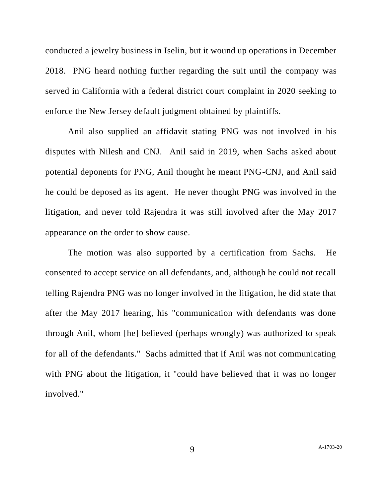conducted a jewelry business in Iselin, but it wound up operations in December 2018. PNG heard nothing further regarding the suit until the company was served in California with a federal district court complaint in 2020 seeking to enforce the New Jersey default judgment obtained by plaintiffs.

Anil also supplied an affidavit stating PNG was not involved in his disputes with Nilesh and CNJ. Anil said in 2019, when Sachs asked about potential deponents for PNG, Anil thought he meant PNG-CNJ, and Anil said he could be deposed as its agent. He never thought PNG was involved in the litigation, and never told Rajendra it was still involved after the May 2017 appearance on the order to show cause.

The motion was also supported by a certification from Sachs. He consented to accept service on all defendants, and, although he could not recall telling Rajendra PNG was no longer involved in the litigation, he did state that after the May 2017 hearing, his "communication with defendants was done through Anil, whom [he] believed (perhaps wrongly) was authorized to speak for all of the defendants." Sachs admitted that if Anil was not communicating with PNG about the litigation, it "could have believed that it was no longer involved."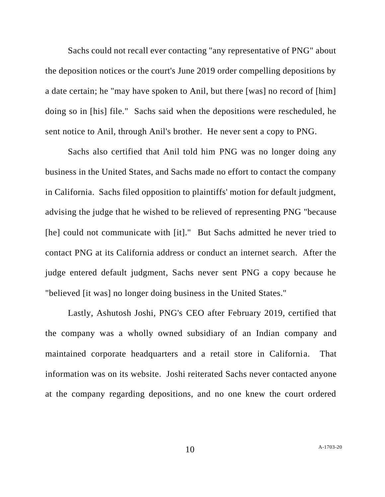Sachs could not recall ever contacting "any representative of PNG" about the deposition notices or the court's June 2019 order compelling depositions by a date certain; he "may have spoken to Anil, but there [was] no record of [him] doing so in [his] file." Sachs said when the depositions were rescheduled, he sent notice to Anil, through Anil's brother. He never sent a copy to PNG.

Sachs also certified that Anil told him PNG was no longer doing any business in the United States, and Sachs made no effort to contact the company in California. Sachs filed opposition to plaintiffs' motion for default judgment, advising the judge that he wished to be relieved of representing PNG "because [he] could not communicate with [it]." But Sachs admitted he never tried to contact PNG at its California address or conduct an internet search. After the judge entered default judgment, Sachs never sent PNG a copy because he "believed [it was] no longer doing business in the United States."

Lastly, Ashutosh Joshi, PNG's CEO after February 2019, certified that the company was a wholly owned subsidiary of an Indian company and maintained corporate headquarters and a retail store in California. That information was on its website. Joshi reiterated Sachs never contacted anyone at the company regarding depositions, and no one knew the court ordered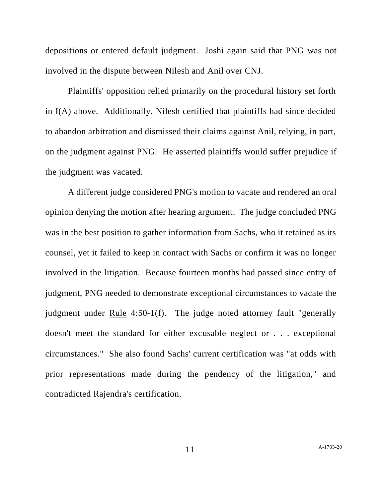depositions or entered default judgment. Joshi again said that PNG was not involved in the dispute between Nilesh and Anil over CNJ.

Plaintiffs' opposition relied primarily on the procedural history set forth in I(A) above. Additionally, Nilesh certified that plaintiffs had since decided to abandon arbitration and dismissed their claims against Anil, relying, in part, on the judgment against PNG. He asserted plaintiffs would suffer prejudice if the judgment was vacated.

A different judge considered PNG's motion to vacate and rendered an oral opinion denying the motion after hearing argument. The judge concluded PNG was in the best position to gather information from Sachs, who it retained as its counsel, yet it failed to keep in contact with Sachs or confirm it was no longer involved in the litigation. Because fourteen months had passed since entry of judgment, PNG needed to demonstrate exceptional circumstances to vacate the judgment under Rule 4:50-1(f). The judge noted attorney fault "generally doesn't meet the standard for either excusable neglect or . . . exceptional circumstances." She also found Sachs' current certification was "at odds with prior representations made during the pendency of the litigation," and contradicted Rajendra's certification.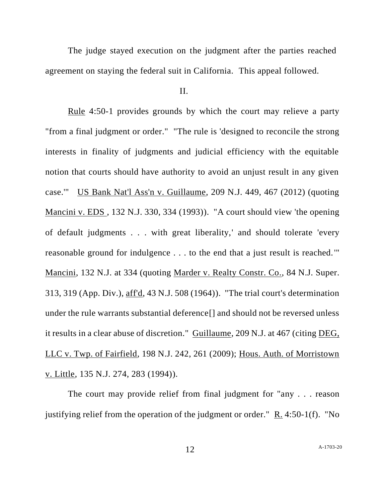The judge stayed execution on the judgment after the parties reached agreement on staying the federal suit in California. This appeal followed.

II.

Rule 4:50-1 provides grounds by which the court may relieve a party "from a final judgment or order." "The rule is 'designed to reconcile the strong interests in finality of judgments and judicial efficiency with the equitable notion that courts should have authority to avoid an unjust result in any given case.'" US Bank Nat'l Ass'n v. Guillaume, 209 N.J. 449, 467 (2012) (quoting Mancini v. EDS , 132 N.J. 330, 334 (1993)). "A court should view 'the opening of default judgments . . . with great liberality,' and should tolerate 'every reasonable ground for indulgence . . . to the end that a just result is reached.'" Mancini, 132 N.J. at 334 (quoting Marder v. Realty Constr. Co., 84 N.J. Super. 313, 319 (App. Div.), aff'd, 43 N.J. 508 (1964)). "The trial court's determination under the rule warrants substantial deference[] and should not be reversed unless it results in a clear abuse of discretion." Guillaume, 209 N.J. at 467 (citing DEG, LLC v. Twp. of Fairfield, 198 N.J. 242, 261 (2009); Hous. Auth. of Morristown v. Little, 135 N.J. 274, 283 (1994)).

The court may provide relief from final judgment for "any . . . reason justifying relief from the operation of the judgment or order." R. 4:50-1(f). "No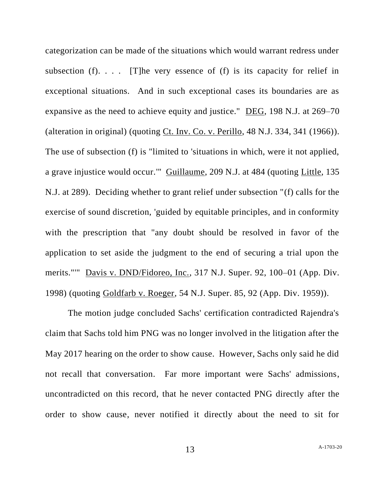categorization can be made of the situations which would warrant redress under subsection (f).  $\ldots$  [T]he very essence of (f) is its capacity for relief in exceptional situations. And in such exceptional cases its boundaries are as expansive as the need to achieve equity and justice." DEG, 198 N.J. at 269–70 (alteration in original) (quoting Ct. Inv. Co. v. Perillo, 48 N.J. 334, 341 (1966)). The use of subsection (f) is "limited to 'situations in which, were it not applied, a grave injustice would occur.'" Guillaume, 209 N.J. at 484 (quoting Little, 135 N.J. at 289). Deciding whether to grant relief under subsection "(f) calls for the exercise of sound discretion, 'guided by equitable principles, and in conformity with the prescription that "any doubt should be resolved in favor of the application to set aside the judgment to the end of securing a trial upon the merits."'" Davis v. DND/Fidoreo, Inc., 317 N.J. Super. 92, 100–01 (App. Div. 1998) (quoting Goldfarb v. Roeger, 54 N.J. Super. 85, 92 (App. Div. 1959)).

The motion judge concluded Sachs' certification contradicted Rajendra's claim that Sachs told him PNG was no longer involved in the litigation after the May 2017 hearing on the order to show cause. However, Sachs only said he did not recall that conversation. Far more important were Sachs' admissions, uncontradicted on this record, that he never contacted PNG directly after the order to show cause, never notified it directly about the need to sit for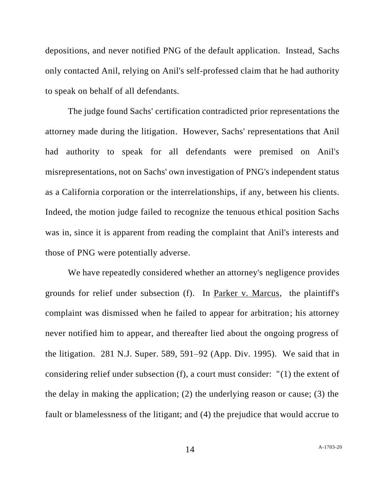depositions, and never notified PNG of the default application. Instead, Sachs only contacted Anil, relying on Anil's self-professed claim that he had authority to speak on behalf of all defendants.

The judge found Sachs' certification contradicted prior representations the attorney made during the litigation. However, Sachs' representations that Anil had authority to speak for all defendants were premised on Anil's misrepresentations, not on Sachs' own investigation of PNG's independent status as a California corporation or the interrelationships, if any, between his clients. Indeed, the motion judge failed to recognize the tenuous ethical position Sachs was in, since it is apparent from reading the complaint that Anil's interests and those of PNG were potentially adverse.

We have repeatedly considered whether an attorney's negligence provides grounds for relief under subsection (f). In Parker v. Marcus, the plaintiff's complaint was dismissed when he failed to appear for arbitration; his attorney never notified him to appear, and thereafter lied about the ongoing progress of the litigation. 281 N.J. Super. 589, 591–92 (App. Div. 1995). We said that in considering relief under subsection (f), a court must consider: "(1) the extent of the delay in making the application; (2) the underlying reason or cause; (3) the fault or blamelessness of the litigant; and (4) the prejudice that would accrue to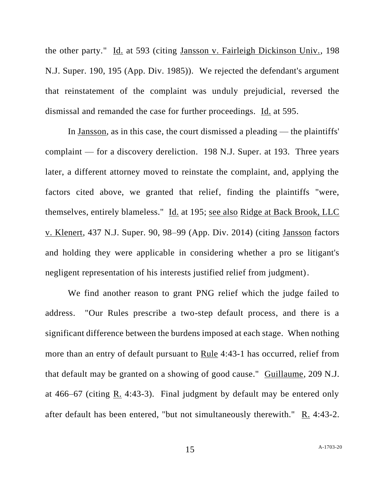the other party." Id. at 593 (citing Jansson v. Fairleigh Dickinson Univ., 198 N.J. Super. 190, 195 (App. Div. 1985)). We rejected the defendant's argument that reinstatement of the complaint was unduly prejudicial, reversed the dismissal and remanded the case for further proceedings. Id. at 595.

In Jansson, as in this case, the court dismissed a pleading — the plaintiffs' complaint — for a discovery dereliction. 198 N.J. Super. at 193. Three years later, a different attorney moved to reinstate the complaint, and, applying the factors cited above, we granted that relief, finding the plaintiffs "were, themselves, entirely blameless." Id. at 195; see also Ridge at Back Brook, LLC v. Klenert, 437 N.J. Super. 90, 98–99 (App. Div. 2014) (citing Jansson factors and holding they were applicable in considering whether a pro se litigant's negligent representation of his interests justified relief from judgment).

We find another reason to grant PNG relief which the judge failed to address. "Our Rules prescribe a two-step default process, and there is a significant difference between the burdens imposed at each stage. When nothing more than an entry of default pursuant to Rule 4:43-1 has occurred, relief from that default may be granted on a showing of good cause." Guillaume, 209 N.J. at 466–67 (citing R. 4:43-3). Final judgment by default may be entered only after default has been entered, "but not simultaneously therewith." R. 4:43-2.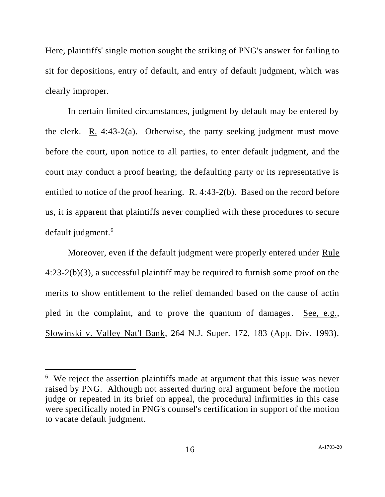Here, plaintiffs' single motion sought the striking of PNG's answer for failing to sit for depositions, entry of default, and entry of default judgment, which was clearly improper.

In certain limited circumstances, judgment by default may be entered by the clerk. R. 4:43-2(a). Otherwise, the party seeking judgment must move before the court, upon notice to all parties, to enter default judgment, and the court may conduct a proof hearing; the defaulting party or its representative is entitled to notice of the proof hearing. R. 4:43-2(b). Based on the record before us, it is apparent that plaintiffs never complied with these procedures to secure default judgment.<sup>6</sup>

Moreover, even if the default judgment were properly entered under Rule 4:23-2(b)(3), a successful plaintiff may be required to furnish some proof on the merits to show entitlement to the relief demanded based on the cause of actin pled in the complaint, and to prove the quantum of damages. See, e.g., Slowinski v. Valley Nat'l Bank, 264 N.J. Super. 172, 183 (App. Div. 1993).

 $6\,$  We reject the assertion plaintiffs made at argument that this issue was never raised by PNG. Although not asserted during oral argument before the motion judge or repeated in its brief on appeal, the procedural infirmities in this case were specifically noted in PNG's counsel's certification in support of the motion to vacate default judgment.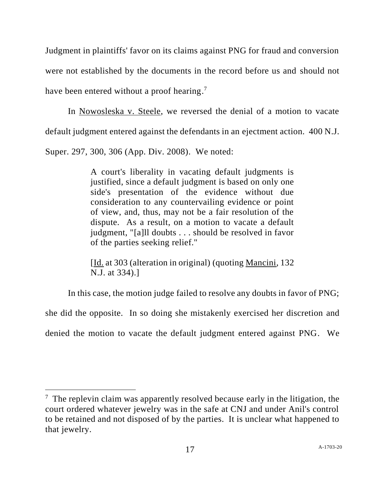Judgment in plaintiffs' favor on its claims against PNG for fraud and conversion were not established by the documents in the record before us and should not have been entered without a proof hearing.<sup>7</sup>

In Nowosleska v. Steele, we reversed the denial of a motion to vacate default judgment entered against the defendants in an ejectment action. 400 N.J. Super. 297, 300, 306 (App. Div. 2008). We noted:

> A court's liberality in vacating default judgments is justified, since a default judgment is based on only one side's presentation of the evidence without due consideration to any countervailing evidence or point of view, and, thus, may not be a fair resolution of the dispute. As a result, on a motion to vacate a default judgment, "[a]ll doubts . . . should be resolved in favor of the parties seeking relief."

> [Id. at 303 (alteration in original) (quoting Mancini, 132 N.J. at 334).]

In this case, the motion judge failed to resolve any doubts in favor of PNG; she did the opposite. In so doing she mistakenly exercised her discretion and denied the motion to vacate the default judgment entered against PNG. We

 $<sup>7</sup>$  The replevin claim was apparently resolved because early in the litigation, the</sup> court ordered whatever jewelry was in the safe at CNJ and under Anil's control to be retained and not disposed of by the parties. It is unclear what happened to that jewelry.